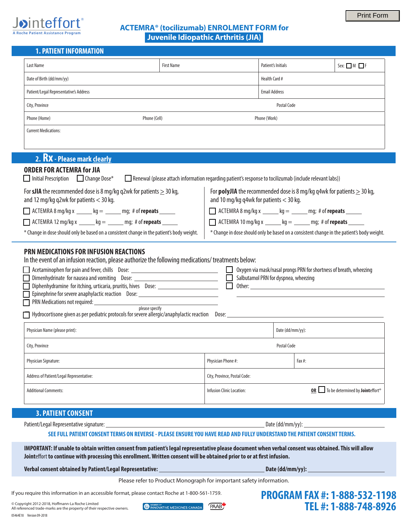



# **ACTEMRA® (tocilizumab) ENROLMENT FORM for Juvenile Idiopathic Arthritis (JIA)**

# **1. PATIENT INFORMATION**

| Last Name                                                                                                                                                                                      | <b>First Name</b> | Patient's Initials                                                                                                              | $Sex: \_ M \_ F$ |  |  |
|------------------------------------------------------------------------------------------------------------------------------------------------------------------------------------------------|-------------------|---------------------------------------------------------------------------------------------------------------------------------|------------------|--|--|
| Date of Birth (dd/mm/yy)                                                                                                                                                                       |                   | Health Card #                                                                                                                   |                  |  |  |
| Patient/Legal Representative's Address                                                                                                                                                         |                   | <b>Email Address</b>                                                                                                            |                  |  |  |
| City, Province                                                                                                                                                                                 |                   | Postal Code                                                                                                                     |                  |  |  |
| Phone (Cell)<br>Phone (Home)                                                                                                                                                                   |                   | Phone (Work)                                                                                                                    |                  |  |  |
| <b>Current Medications:</b>                                                                                                                                                                    |                   |                                                                                                                                 |                  |  |  |
|                                                                                                                                                                                                |                   |                                                                                                                                 |                  |  |  |
| 2. RX - Please mark clearly                                                                                                                                                                    |                   |                                                                                                                                 |                  |  |  |
| <b>ORDER FOR ACTEMRA for JIA</b><br>$\Box$ Initial Prescription $\Box$ Change Dose*<br>Renewal (please attach information regarding patient's response to tocilizumab (include relevant labs)) |                   |                                                                                                                                 |                  |  |  |
| For <b>sJIA</b> the recommended dose is 8 mg/kg q2wk for patients $\geq$ 30 kg,<br>and 12 mg/kg q2wk for patients $<$ 30 kg.                                                                   |                   | For <b>polyJIA</b> the recommended dose is 8 mg/kg q4wk for patients $\geq$ 30 kg,<br>and 10 mg/kg q4wk for patients $<$ 30 kg. |                  |  |  |
| $\Box$ ACTEMRA 8 mg/kg x ______ kg = ______ mg; # of repeats _____<br>$\Box$ ACTEMRA 8 mg/kg x $\_\_\_\_$ kg = $\_\_\_\$ mg; # of repeats $\_\_\_\_\_\_\$                                      |                   |                                                                                                                                 |                  |  |  |
| $\Box$ ACTEMRA 12 mg/kg x _____ kg = _____ mg; # of repeats _____                                                                                                                              |                   | $\Box$ ACTEMRA 10 mg/kg x _____ kg = _____ mg; # of repeats _____                                                               |                  |  |  |
| * Change in dose should only be based on a consistent change in the patient's body weight.                                                                                                     |                   | * Change in dose should only be based on a consistent change in the patient's body weight.                                      |                  |  |  |
| DON MEDICATIONS FOD INFIISION DEACTIONS                                                                                                                                                        |                   |                                                                                                                                 |                  |  |  |

# **PRN MEDICATIONS FOR INFUSION REACTIONS**

In the event of an infusion reaction, please authorize the following medications/ treatments below:

| Acetaminophen for pain and fever, chills Dose: _____________                                     |       | Oxygen via mask/nasal prongs PRN for shortness of breath, wheezing |
|--------------------------------------------------------------------------------------------------|-------|--------------------------------------------------------------------|
| Dimenhydrinate for nausea and vomiting Dose:                                                     |       | Salbutamol PRN for dyspnea, wheezing                               |
| Diphenhydramine for itching, urticaria, pruritis, hives Dose: __________________                 |       | Other:                                                             |
| Epinephrine for severe anaphylactic reaction Dose:                                               |       |                                                                    |
| <b>PRN</b> Medications not required:                                                             |       |                                                                    |
| please specify                                                                                   |       |                                                                    |
| $\Box$ Hydrocortisone given as per pediatric protocols for severe allergic/anaphylactic reaction | Dose: |                                                                    |

| Physician Name (please print):           |                              | Date (dd/mm/yy): |                                                                  |
|------------------------------------------|------------------------------|------------------|------------------------------------------------------------------|
| City, Province                           | Postal Code                  |                  |                                                                  |
| Physician Signature:                     | Physician Phone #:           |                  | Fax #:                                                           |
| Address of Patient/Legal Representative: | City, Province, Postal Code: |                  |                                                                  |
| <b>Additional Comments:</b>              | Infusion Clinic Location:    |                  | <b>OR D</b> To be determined by <b>Joint</b> effort <sup>®</sup> |

# **3. PATIENT CONSENT**

| Patient/Legal Representative signature: | Date (dd/mm/yy): |
|-----------------------------------------|------------------|
|                                         |                  |

## **SEE FULL PATIENT CONSENT TERMS ON REVERSE - PLEASE ENSURE YOU HAVE READ AND FULLY UNDERSTAND THE PATIENT CONSENT TERMS.**

**IMPORTANT: If unable to obtain written consent from patient's legal representative please document when verbal consent was obtained. This will allow Joint**effort **to continue with processing this enrollment. Written consent will be obtained prior to or at first infusion.**

Verbal consent obtained by Patient/Legal Representative: **Date (dd/mm/yy):** \_ Date (dd/mm/yy): \_

Please refer to Product Monograph for important safety information.

If you require this information in an accessible format, please contact Roche at 1-800-561-1759.

05464E18 Version 09-2018 © Copyright 2012-2018, Hoffmann-La Roche Limited All referenced trade-marks are the property of their respective owners.



**PAAB** 

**PROGRAM FAX #: 1-888-532-1198 TEL #: 1-888-748-8926**